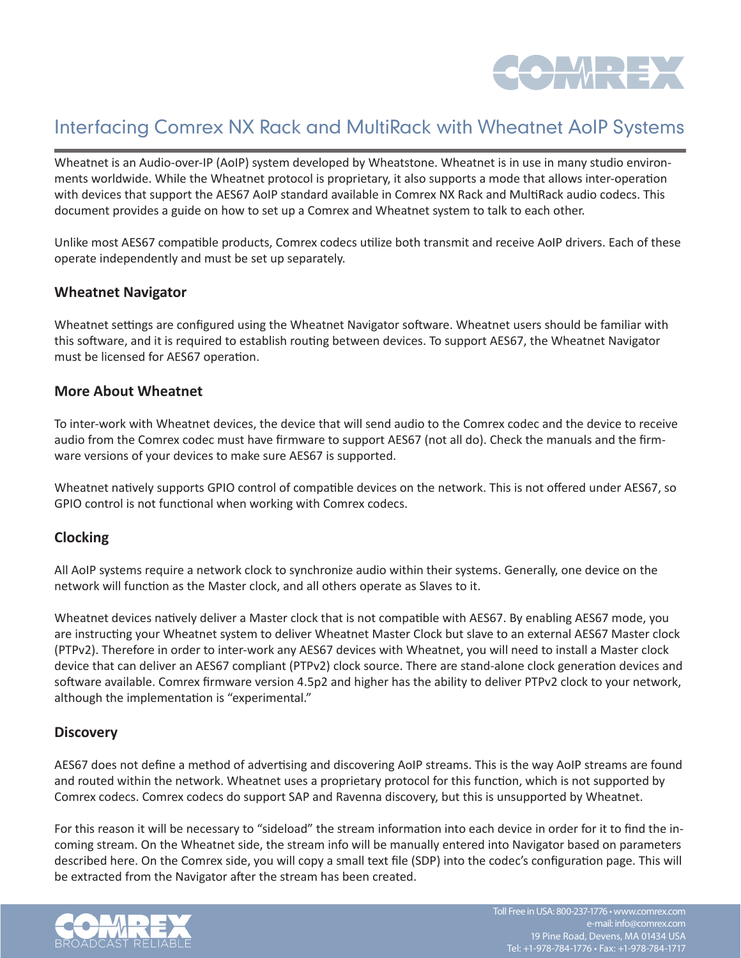

# Interfacing Comrex NX Rack and MultiRack with Wheatnet AoIP Systems

Wheatnet is an Audio-over-IP (AoIP) system developed by Wheatstone. Wheatnet is in use in many studio environments worldwide. While the Wheatnet protocol is proprietary, it also supports a mode that allows inter-operation with devices that support the AES67 AoIP standard available in Comrex NX Rack and MultiRack audio codecs. This document provides a guide on how to set up a Comrex and Wheatnet system to talk to each other.

Unlike most AES67 compatible products, Comrex codecs utilize both transmit and receive AoIP drivers. Each of these operate independently and must be set up separately.

#### **Wheatnet Navigator**

Wheatnet settings are configured using the Wheatnet Navigator software. Wheatnet users should be familiar with this software, and it is required to establish routing between devices. To support AES67, the Wheatnet Navigator must be licensed for AES67 operation.

#### **More About Wheatnet**

To inter-work with Wheatnet devices, the device that will send audio to the Comrex codec and the device to receive audio from the Comrex codec must have firmware to support AES67 (not all do). Check the manuals and the firmware versions of your devices to make sure AES67 is supported.

Wheatnet natively supports GPIO control of compatible devices on the network. This is not offered under AES67, so GPIO control is not functional when working with Comrex codecs.

#### **Clocking**

All AoIP systems require a network clock to synchronize audio within their systems. Generally, one device on the network will function as the Master clock, and all others operate as Slaves to it.

Wheatnet devices natively deliver a Master clock that is not compatible with AES67. By enabling AES67 mode, you are instructing your Wheatnet system to deliver Wheatnet Master Clock but slave to an external AES67 Master clock (PTPv2). Therefore in order to inter-work any AES67 devices with Wheatnet, you will need to install a Master clock device that can deliver an AES67 compliant (PTPv2) clock source. There are stand-alone clock generation devices and software available. Comrex firmware version 4.5p2 and higher has the ability to deliver PTPv2 clock to your network, although the implementation is "experimental."

#### **Discovery**

AES67 does not define a method of advertising and discovering AoIP streams. This is the way AoIP streams are found and routed within the network. Wheatnet uses a proprietary protocol for this function, which is not supported by Comrex codecs. Comrex codecs do support SAP and Ravenna discovery, but this is unsupported by Wheatnet.

For this reason it will be necessary to "sideload" the stream information into each device in order for it to find the incoming stream. On the Wheatnet side, the stream info will be manually entered into Navigator based on parameters described here. On the Comrex side, you will copy a small text file (SDP) into the codec's configuration page. This will be extracted from the Navigator after the stream has been created.

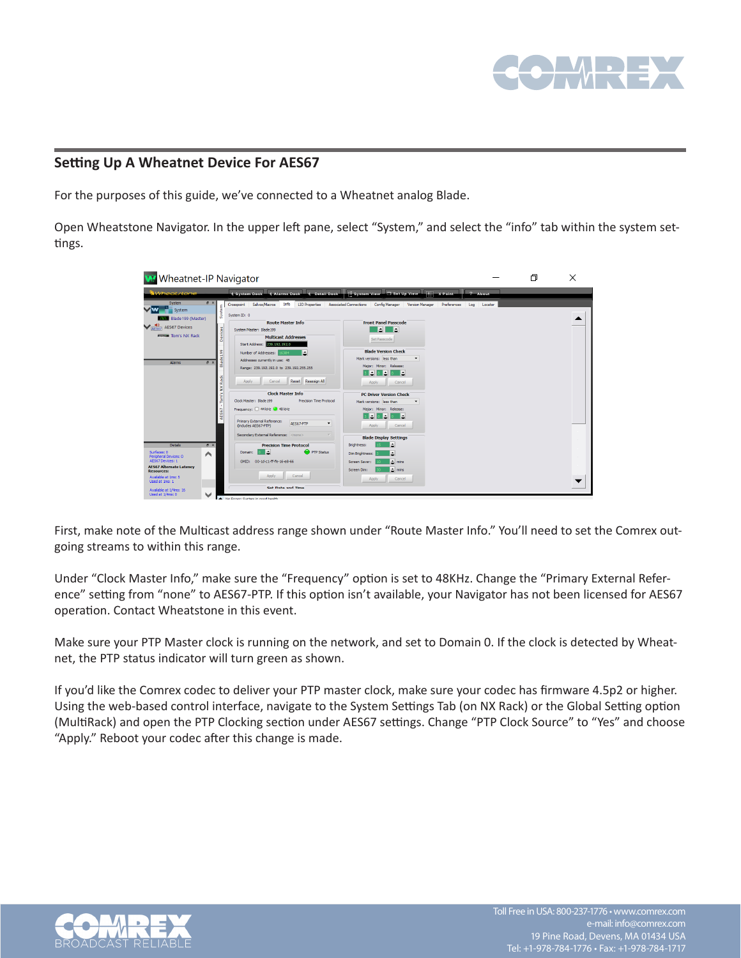

### **Setting Up A Wheatnet Device For AES67**

For the purposes of this guide, we've connected to a Wheatnet analog Blade.

Open Wheatstone Navigator. In the upper left pane, select "System," and select the "info" tab within the system settings.

| <b>Wheatnet-IP Navigator</b>                                                                                                                                                              |                                                                                                                                                                                                                                                                                                             |                                                                                                                                                                                                                              |                | 门 | × |
|-------------------------------------------------------------------------------------------------------------------------------------------------------------------------------------------|-------------------------------------------------------------------------------------------------------------------------------------------------------------------------------------------------------------------------------------------------------------------------------------------------------------|------------------------------------------------------------------------------------------------------------------------------------------------------------------------------------------------------------------------------|----------------|---|---|
| Wheat stone                                                                                                                                                                               | <b>4</b> Detail Dock<br>4. Alarms Dock<br><b>Caustem Dock</b>                                                                                                                                                                                                                                               | System View 3et Up View<br>$\overline{  }\overline{  }$ X Point                                                                                                                                                              | 2 About        |   |   |
| System<br>B X<br>System<br>System<br>Blade199 (Master)<br>$\sqrt{\frac{9}{  \text{AFS67} }}$ AES67 Devices<br>evices<br>more Tom's NX Rack<br>۰<br>g,<br>$B \times$<br><b>Alarms</b><br>ᆱ | Crosspoint Salvos/Macros Info<br><b>LIO</b> Properties<br>System ID: 0<br><b>Route Master Info</b><br>System Master: Blade 199<br><b>Multicast Addresses</b><br>Start Address: 239, 192, 192.0<br>Number of Addresses:<br>6384<br>Addresses currently in use: 48<br>Range: 239.192.192.0 to 239.192.255.255 | <b>Associated Connections</b><br>Config Manager<br>Version Manager<br>Preferences<br><b>Front Panel Passcode</b><br>EI E<br>Set Passcode<br><b>Blade Version Check</b><br>Mark versions: less than<br>Major: Minor: Release: | Log<br>Locator |   |   |
| Řack<br>š<br>$^{16}$<br>ē<br>AES67                                                                                                                                                        | Reset Reassign All<br><b>Apply</b><br>Cancel<br><b>Clock Master Info</b><br>Clock Master: Blade 199<br>Precision Time Protocol<br>Frequency: 44 kHz + 48 kHz<br>Primary External Reference:<br>AES67-PTP<br>$\overline{\phantom{a}}$<br>(includes AES67-PTP)                                                | E<br>►<br>Cancel<br>Apply<br><b>PC Driver Version Check</b><br>Mark versions: less than<br>Major: Minor: Release:<br>H.<br>۰<br>Е<br>Cancel<br>Apply                                                                         |                |   |   |
| <b>Details</b><br># x                                                                                                                                                                     | Secondary External Reference: <none><br/><b>Precision Time Protocol</b></none>                                                                                                                                                                                                                              | <b>Blade Display Settings</b><br>Ŀ<br>Brightness:                                                                                                                                                                            |                |   |   |
| Surfaces: 0<br>∧<br>Peripheral Devices: 0<br>AES67 Devices: 1<br><b>AES67 Alternate Latency</b><br><b>Resources:</b><br>Avaiable at 1ms: 5<br>Used at 1ms: 1                              | PTP Status<br>Domain:<br>GMID: 00-1d-c1-ff-fe-16-e8-66<br>Apply<br>Cancel                                                                                                                                                                                                                                   | <b>Dim Brightness:</b><br>۵<br>$\triangle$ mins<br>Screen Saver:<br>$\Delta$ mins<br>Screen Dim:<br>Cancel<br>Apply                                                                                                          |                |   |   |
| Available at 1/4ms: 16<br>v<br>Used at 1/4ms: 0                                                                                                                                           | <b>Set Date and Time</b>                                                                                                                                                                                                                                                                                    |                                                                                                                                                                                                                              |                |   |   |

First, make note of the Multicast address range shown under "Route Master Info." You'll need to set the Comrex outgoing streams to within this range.

Under "Clock Master Info," make sure the "Frequency" option is set to 48KHz. Change the "Primary External Reference" setting from "none" to AES67-PTP. If this option isn't available, your Navigator has not been licensed for AES67 operation. Contact Wheatstone in this event.

Make sure your PTP Master clock is running on the network, and set to Domain 0. If the clock is detected by Wheatnet, the PTP status indicator will turn green as shown.

If you'd like the Comrex codec to deliver your PTP master clock, make sure your codec has firmware 4.5p2 or higher. Using the web-based control interface, navigate to the System Settings Tab (on NX Rack) or the Global Setting option (MultiRack) and open the PTP Clocking section under AES67 settings. Change "PTP Clock Source" to "Yes" and choose "Apply." Reboot your codec after this change is made.

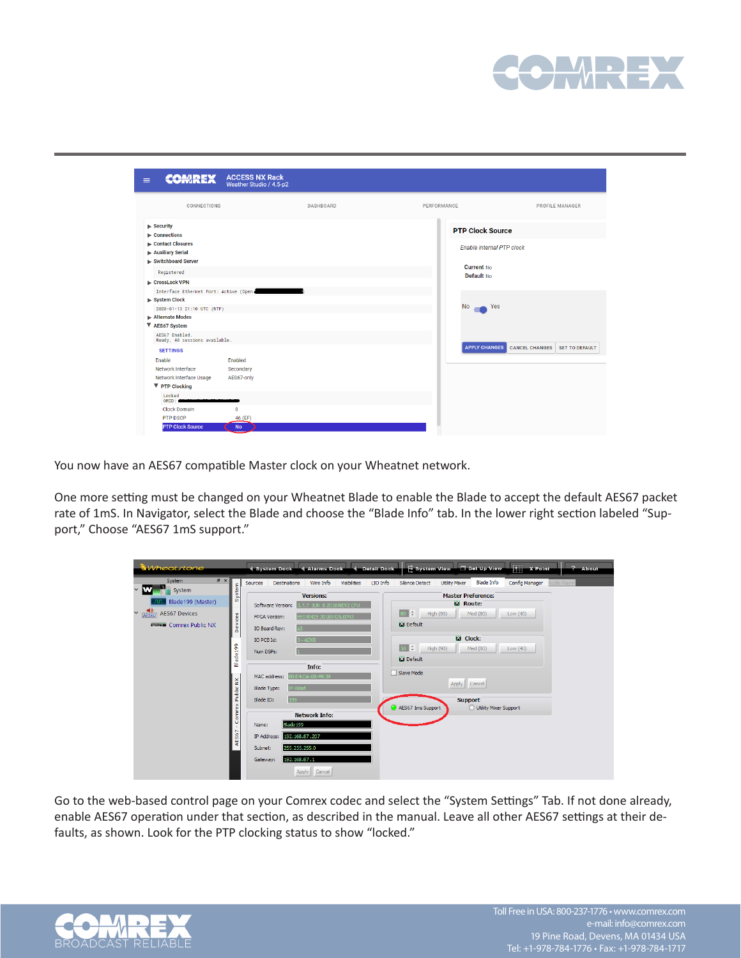

| <b>COMREX</b><br>$\equiv$                                                 | <b>ACCESS NX Rack</b><br>Weather Studio / 4.5-p2 |           |                            |                                 |
|---------------------------------------------------------------------------|--------------------------------------------------|-----------|----------------------------|---------------------------------|
| CONNECTIONS                                                               |                                                  | DASHBOARD | PERFORMANCE                | PROFILE MANAGER                 |
| $\blacktriangleright$ Security<br>$\blacktriangleright$ Connections       |                                                  |           | <b>PTP Clock Source</b>    |                                 |
| Contact Closures<br>Auxiliary Serial<br>Switchboard Server                |                                                  |           | Enable internal PTP clock  |                                 |
| Registered                                                                |                                                  |           | Current No.<br>Default No. |                                 |
| ► CrossLock VPN<br>Interface Ethernet Port: Active (Open,<br>System Clock |                                                  |           |                            |                                 |
| 2020-01-13 21:10 UTC (NTP)<br>Alternate Modes                             |                                                  |           | <b>No</b><br>Yes           |                                 |
| ▼ AES67 System                                                            |                                                  |           |                            |                                 |
| AES67 Enabled.<br>Ready, 40 sessions available.<br><b>SETTINGS</b>        |                                                  |           | <b>APPLY CHANGES</b>       | CANCEL CHANGES   SET TO DEFAULT |
| Enable<br>Network Interface<br>Network Interface Usage                    | Enabled<br>Secondary<br>AES67-only               |           |                            |                                 |
| ▼ PTP Clocking<br>Locked<br>GMD:                                          |                                                  |           |                            |                                 |
| <b>Clock Domain</b><br>PTP DSCP                                           | $\mathbf{0}$<br>46 (EF)                          |           |                            |                                 |
| <b>PTP Clock Source</b>                                                   | <b>No</b>                                        |           |                            |                                 |

You now have an AES67 compatible Master clock on your Wheatnet network.

One more setting must be changed on your Wheatnet Blade to enable the Blade to accept the default AES67 packet rate of 1mS. In Navigator, select the Blade and choose the "Blade Info" tab. In the lower right section labeled "Support," Choose "AES67 1mS support."

| Wheatstone                                                                                                                         |                               | 4 System Dock                                                                                                                                                                                                                                                | Alarms Dock 4 Detail Dock       |                                                                                   | System View 3et Up View                                                                                                            |                       | $\overline{+}$ X Point |                     | ? About |
|------------------------------------------------------------------------------------------------------------------------------------|-------------------------------|--------------------------------------------------------------------------------------------------------------------------------------------------------------------------------------------------------------------------------------------------------------|---------------------------------|-----------------------------------------------------------------------------------|------------------------------------------------------------------------------------------------------------------------------------|-----------------------|------------------------|---------------------|---------|
| B X<br>System                                                                                                                      |                               | Wire Info<br><b>Destinations</b><br>Sources                                                                                                                                                                                                                  | <b>Visibilities</b><br>LIO Info | Silence Detect                                                                    | <b>Utility Mixer</b>                                                                                                               | <b>Blade Info</b>     | Config Manager         | <b>Audio Player</b> |         |
| w<br>$\checkmark$<br>System<br>Blade199 (Master)<br>$\frac{1}{\sqrt{2}}$<br><b>AES67 Devices</b><br><b>MARKET Comrex Public NX</b> | System<br>Devices<br>Blade199 | <b>Versions:</b><br>3.7.7 JUN 8 2018 REV2 CPU<br>Software Version:<br>EE030425 20180425.0743<br><b>FPGA Version:</b><br>IO Board Rev:<br>IO PCB Id:<br>$3 - ADX8$<br>Num DSPs:<br>Info:<br>0:E4:DA:00:49:39<br>MAC address:<br>IP-88ad<br><b>Blade Type:</b> |                                 | ∥≑<br>l RO<br><b>NJ</b> Default<br>$50$ $\div$<br><b>NJ</b> Default<br>Slave Mode | <b>Master Preference:</b><br><b>N</b> Route:<br>High (90)<br>Med (80)<br><b>Ed</b> Clock:<br>High (90)<br>Med (80)<br>Apply Cancel |                       | Low (40)<br>Low (40)   |                     |         |
|                                                                                                                                    | - Comrex Public NX<br>AES67   | 199<br>Blade ID:<br><b>Network Info:</b><br>Blade 199<br>Name:<br>IP Address:<br>192.168.87.207<br>255.255.255.0<br>Subnet:<br>192.168.87.1<br>Gateway:<br>Apply Cancel                                                                                      |                                 | AES67 1ms Support                                                                 | <b>Support</b>                                                                                                                     | Utility Mixer Support |                        |                     |         |

Go to the web-based control page on your Comrex codec and select the "System Settings" Tab. If not done already, enable AES67 operation under that section, as described in the manual. Leave all other AES67 settings at their defaults, as shown. Look for the PTP clocking status to show "locked."

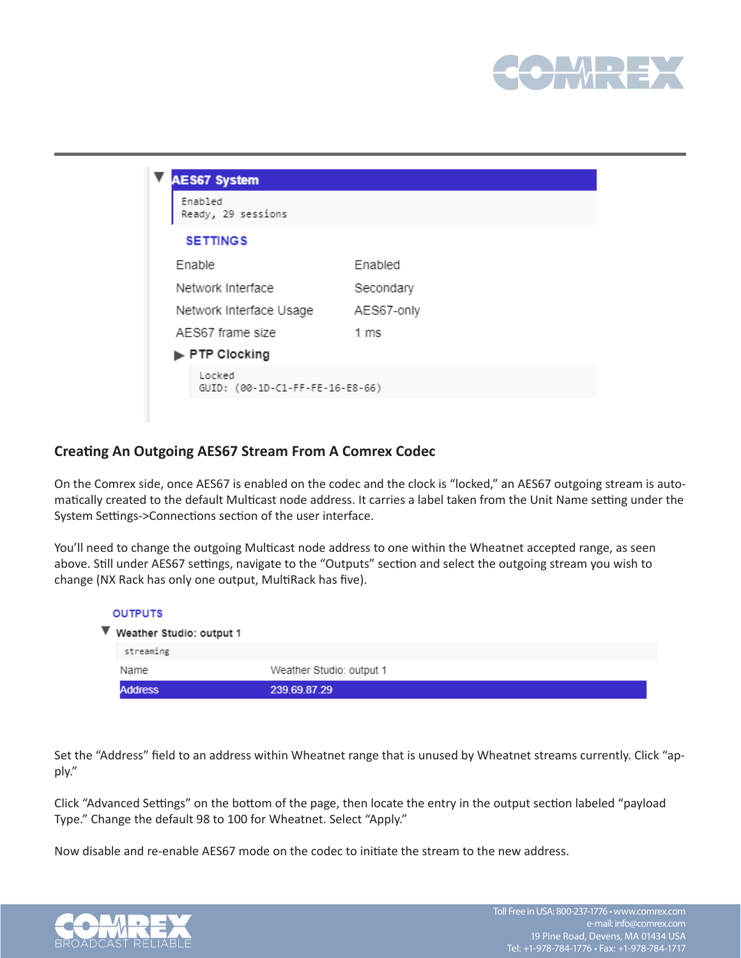

| Enabled<br>Ready, 29 sessions |                |
|-------------------------------|----------------|
| <b>SETTINGS</b>               |                |
| Enable                        | Enabled        |
| Network Interface             | Secondary      |
| Network Interface Usage       | AES67-only     |
| AES67 frame size              | $1 \text{ ms}$ |
| PTP Clocking                  |                |

#### **Creating An Outgoing AES67 Stream From A Comrex Codec**

On the Comrex side, once AES67 is enabled on the codec and the clock is "locked," an AES67 outgoing stream is automatically created to the default Multicast node address. It carries a label taken from the Unit Name setting under the System Settings->Connections section of the user interface.

You'll need to change the outgoing Multicast node address to one within the Wheatnet accepted range, as seen above. Still under AES67 settings, navigate to the "Outputs" section and select the outgoing stream you wish to change (NX Rack has only one output, MultiRack has five).

| <b>OUTPUTS</b>                                |                          |
|-----------------------------------------------|--------------------------|
| $\blacktriangledown$ Weather Studio: output 1 |                          |
| streaming                                     |                          |
| Name                                          | Weather Studio: output 1 |
| <b>Address</b>                                | 239.69.87.29             |

Set the "Address" field to an address within Wheatnet range that is unused by Wheatnet streams currently. Click "apply."

Click "Advanced Settings" on the bottom of the page, then locate the entry in the output section labeled "payload Type." Change the default 98 to 100 for Wheatnet. Select "Apply."

Now disable and re-enable AES67 mode on the codec to initiate the stream to the new address.

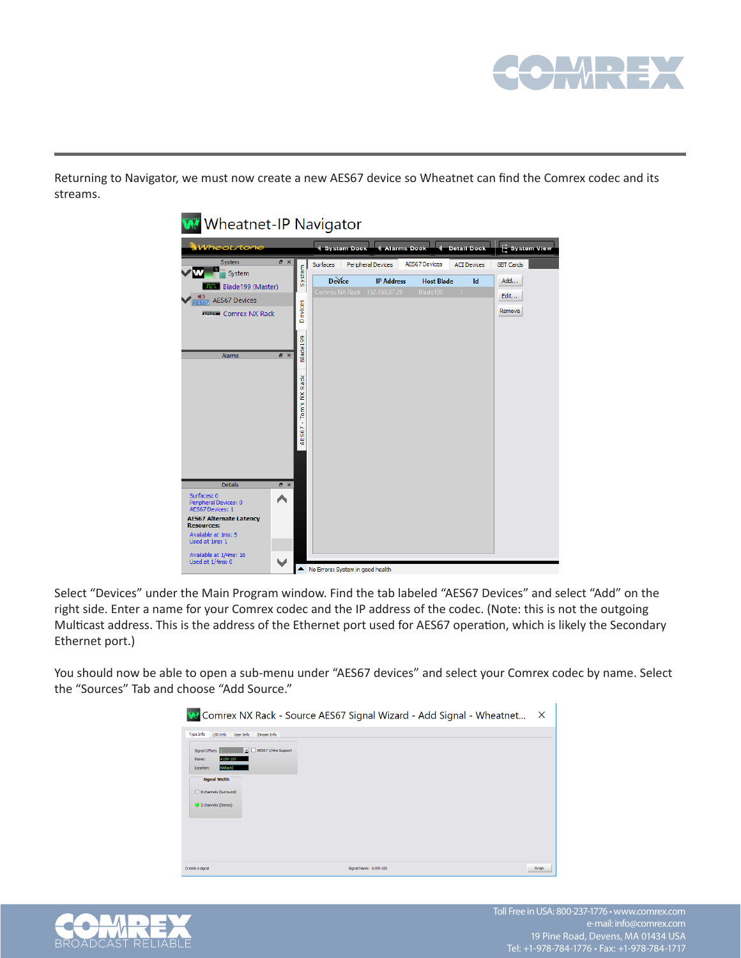

Returning to Navigator, we must now create a new AES67 device so Wheatnet can find the Comrex codec and its streams.

| Wheatstone                                                                                                                                                                                                                                  |                                   | <b>4-Alarms Dock</b><br><b>4</b> Detail Dock<br>System View<br><b>4 System Dock</b>                                                                                                                                                                 |
|---------------------------------------------------------------------------------------------------------------------------------------------------------------------------------------------------------------------------------------------|-----------------------------------|-----------------------------------------------------------------------------------------------------------------------------------------------------------------------------------------------------------------------------------------------------|
| System<br>B X<br>System<br><b>HIL Blade199 (Master)</b><br>$\sqrt{\frac{9}{ AES67 }}$ AES67 Devices<br><b>MORE COMPEX NX Rack</b>                                                                                                           | System<br>Devices                 | <b>AES67 Devices</b><br>Surfaces<br>Peripheral Devices<br><b>GBT Cards</b><br><b>ACI Devices</b><br><b>Device</b><br><b>IP Address</b><br><b>Host Blade</b><br>Add<br>Id<br>Comrex NX Rack 192.168.87.29<br>Blade199<br>$\vert$ 1<br>Edit<br>Remove |
| $B \times$<br>Alarms                                                                                                                                                                                                                        | Blade199<br>AES67 - Tom's NX Rack |                                                                                                                                                                                                                                                     |
| <b>Details</b><br>a x<br>Surfaces: 0<br>^<br>Peripheral Devices: 0<br><b>AES67 Devices: 1</b><br><b>AES67 Alternate Latency</b><br><b>Resources:</b><br>Available at 1ms: 5<br>Used at 1ms: 1<br>Available at 1/4ms: 16<br>Used at 1/4ms: 0 |                                   |                                                                                                                                                                                                                                                     |

Select "Devices" under the Main Program window. Find the tab labeled "AES67 Devices" and select "Add" on the right side. Enter a name for your Comrex codec and the IP address of the codec. (Note: this is not the outgoing Multicast address. This is the address of the Ethernet port used for AES67 operation, which is likely the Secondary Ethernet port.)

You should now be able to open a sub-menu under "AES67 devices" and select your Comrex codec by name. Select the "Sources" Tab and choose "Add Source."

| W Comrex NX Rack - Source AES67 Signal Wizard - Add Signal - Wheatnet             | X      |
|-----------------------------------------------------------------------------------|--------|
| Type Info<br>LIO Info<br>User Info<br>Stream Info                                 |        |
| AES67 1/4ms Support<br>Signal Offset:<br>A199-1S0<br>Name:<br>NXRadd<br>Location: |        |
| <b>Signal Width</b><br>8 channels (Surround)                                      |        |
| 2 channels (Stereo)                                                               |        |
|                                                                                   |        |
| Signal Name: A199-150<br>Create a signal                                          | Finish |

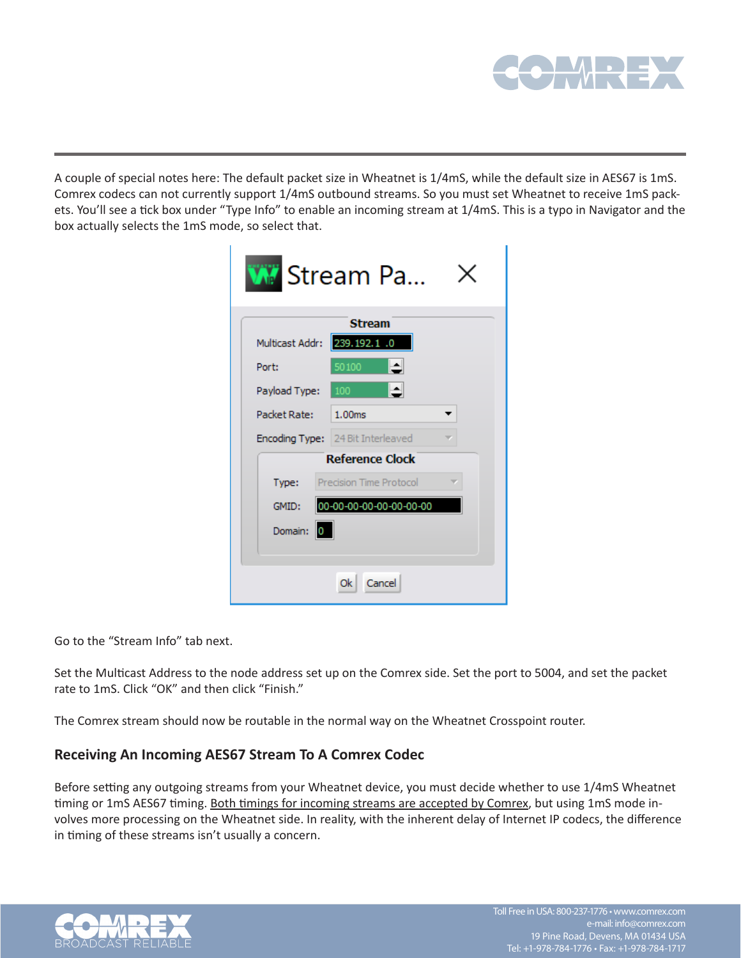

A couple of special notes here: The default packet size in Wheatnet is 1/4mS, while the default size in AES67 is 1mS. Comrex codecs can not currently support 1/4mS outbound streams. So you must set Wheatnet to receive 1mS packets. You'll see a tick box under "Type Info" to enable an incoming stream at 1/4mS. This is a typo in Navigator and the box actually selects the 1mS mode, so select that.

|                 | <b>W</b> Stream Pa                       |
|-----------------|------------------------------------------|
|                 | <b>Stream</b>                            |
| Multicast Addr: | 239.192.1 .0                             |
| Port:           | ᅬ<br>50100                               |
| Payload Type:   | 100                                      |
| Packet Rate: L  | 1.00 <sub>ms</sub>                       |
|                 | <b>Encoding Type:</b> 24 Bit Interleaved |
|                 | <b>Reference Clock</b>                   |
| Type:           | Precision Time Protocol                  |
| GMID:           | 00-00-00-00-00-00-00-00                  |
| Domain:<br>0    |                                          |
|                 |                                          |
|                 | Cancel<br>0k.                            |

Go to the "Stream Info" tab next.

Set the Multicast Address to the node address set up on the Comrex side. Set the port to 5004, and set the packet rate to 1mS. Click "OK" and then click "Finish."

The Comrex stream should now be routable in the normal way on the Wheatnet Crosspoint router.

## **Receiving An Incoming AES67 Stream To A Comrex Codec**

Before setting any outgoing streams from your Wheatnet device, you must decide whether to use 1/4mS Wheatnet timing or 1mS AES67 timing. Both timings for incoming streams are accepted by Comrex, but using 1mS mode involves more processing on the Wheatnet side. In reality, with the inherent delay of Internet IP codecs, the difference in timing of these streams isn't usually a concern.

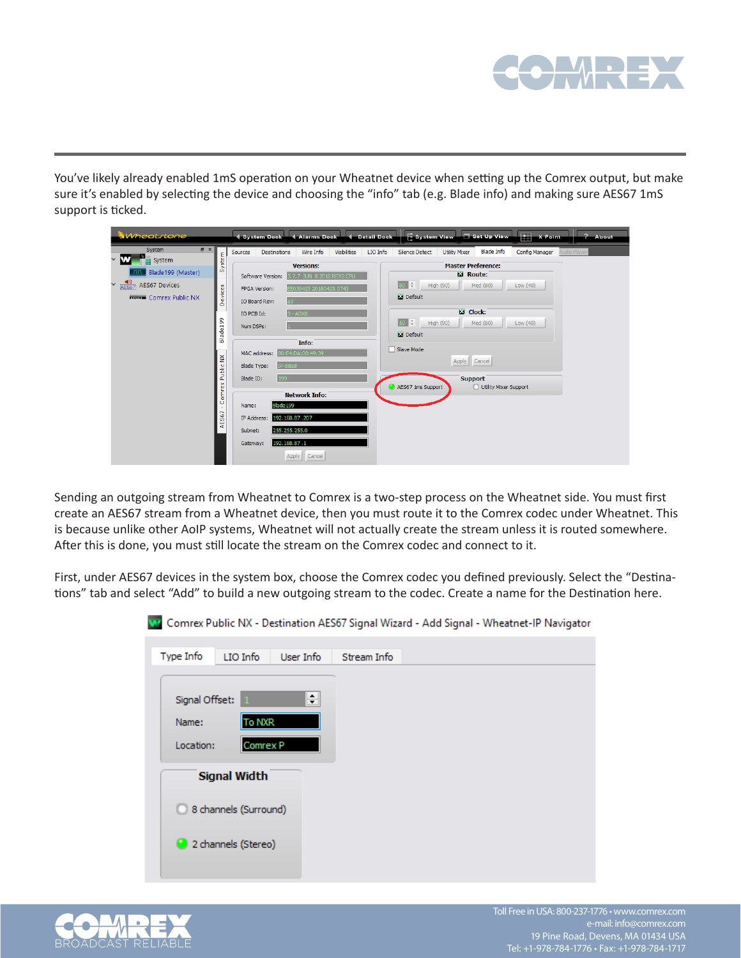

You've likely already enabled 1mS operation on your Wheatnet device when setting up the Comrex output, but make sure it's enabled by selecting the device and choosing the "info" tab (e.g. Blade info) and making sure AES67 1mS support is ticked.

| Wheatstone                                                                                                                                                                                                                   | System Dock 4 Alarms Dock 4 Detail Dock                                                                                                                                                                                                                                                                                                                                                                                                                                                                          | $H$ X Point<br>System View 5 Set Up View<br>? About                                                                                                                                                                                                                                                                                                                                               |
|------------------------------------------------------------------------------------------------------------------------------------------------------------------------------------------------------------------------------|------------------------------------------------------------------------------------------------------------------------------------------------------------------------------------------------------------------------------------------------------------------------------------------------------------------------------------------------------------------------------------------------------------------------------------------------------------------------------------------------------------------|---------------------------------------------------------------------------------------------------------------------------------------------------------------------------------------------------------------------------------------------------------------------------------------------------------------------------------------------------------------------------------------------------|
| $B \times$<br>System<br>System<br>$\checkmark$<br>System<br>Blade199 (Master)<br>$\frac{1}{\sqrt{2}}$ AES67 Devices<br>Devices<br><b>MARKET COMPEX Public NX</b><br>Blade199<br>Public NX<br>Comrex<br>$\mathbf{r}$<br>AES67 | Wire Info<br><b>Visibilities</b><br>LIO Info<br><b>Destinations</b><br>Sources<br><b>Versions:</b><br>7.7 JUN 8 2018 REV2 CPU<br>Software Version:<br>E030425 20180425.0743<br>FPGA Version:<br>IO Board Rev:<br>IO PCB Id:<br>$3 - ADX8$<br>Num DSPs:<br>Info:<br>80:E4:DA:00:49:39<br>MAC address:<br><b>Blade Type:</b><br>IP-88ad<br>199<br>Blade ID:<br><b>Network Info:</b><br>Blade 199<br>Name:<br>192.168.87.207<br>IP Address:<br>255.255.255.0<br>Subnet:<br>192.168.87.1<br>Gateway:<br>Apply Cancel | <b>Blade Info</b><br><b>Silence Detect</b><br><b>Utility Mixer</b><br><b>Config Manager</b><br>udio Playe<br><b>Master Preference:</b><br>Route:<br>High (90)<br>Med (80)<br>Low (40)<br><b>N</b> Default<br><b>Ed</b> Clock:<br>$50 \div$<br>High (90)<br>Med (80)<br>Low (40)<br><b>M</b> Default<br>Slave Mode<br>Apply Cancel<br><b>Support</b><br>AES67 1ms Support<br>Utility Mixer Support |

Sending an outgoing stream from Wheatnet to Comrex is a two-step process on the Wheatnet side. You must first create an AES67 stream from a Wheatnet device, then you must route it to the Comrex codec under Wheatnet. This is because unlike other AoIP systems, Wheatnet will not actually create the stream unless it is routed somewhere. After this is done, you must still locate the stream on the Comrex codec and connect to it.

First, under AES67 devices in the system box, choose the Comrex codec you defined previously. Select the "Destinations" tab and select "Add" to build a new outgoing stream to the codec. Create a name for the Destination here.

|                                      |                       |           |             | Comrex Public NX - Destination AES67 Signal Wizard - Add Signal - Wheatnet-IP Navigator |  |
|--------------------------------------|-----------------------|-----------|-------------|-----------------------------------------------------------------------------------------|--|
| Type Info                            | LIO Info              | User Info | Stream Info |                                                                                         |  |
| Signal Offset:<br>Name:<br>Location: | To NXR<br>Comrex P    | ≑∣        |             |                                                                                         |  |
|                                      | <b>Signal Width</b>   |           |             |                                                                                         |  |
|                                      | 8 channels (Surround) |           |             |                                                                                         |  |
|                                      | 2 channels (Stereo)   |           |             |                                                                                         |  |

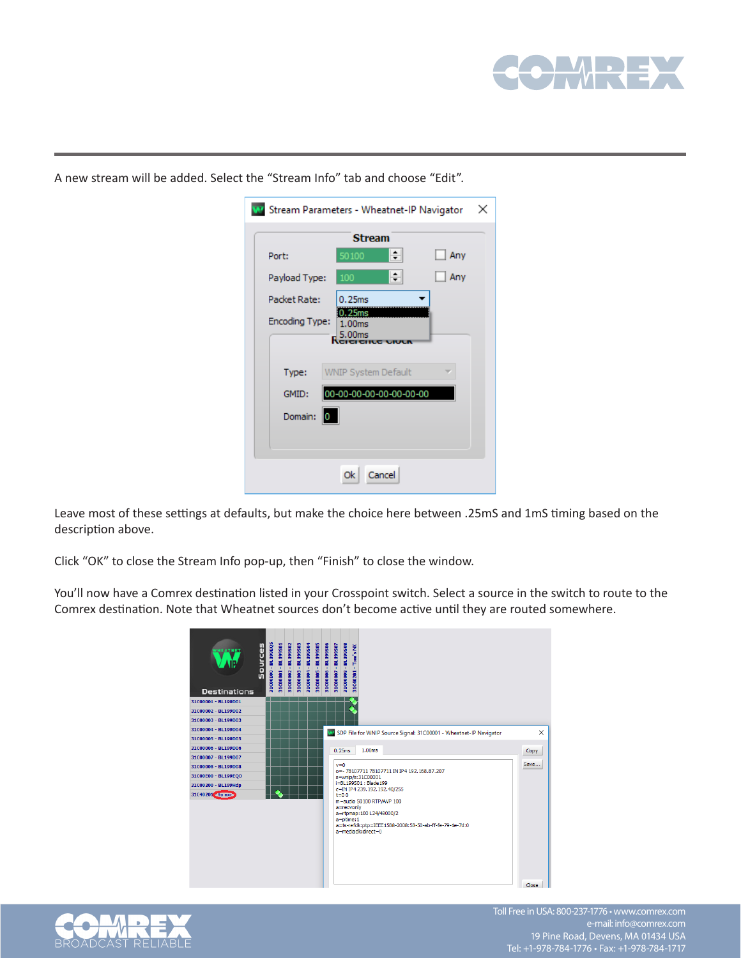

|                       | <b>Stream</b>              |
|-----------------------|----------------------------|
| Port:                 | ≑∥<br>50100<br>Any         |
| Payload Type:         | ÷۱<br>Any<br>100           |
| Packet Rate:          | 0.25ms                     |
| <b>Encoding Type:</b> | 25ms<br>1.00ms             |
|                       | 5.00ms                     |
| Type:                 | <b>WNIP System Default</b> |
|                       |                            |
| GMID:                 | 00-00-00-00-00-00-00-00    |
| Domain:               | 0                          |
|                       |                            |
|                       |                            |

A new stream will be added. Select the "Stream Info" tab and choose "Edit".

Leave most of these settings at defaults, but make the choice here between .25mS and 1mS timing based on the description above.

Click "OK" to close the Stream Info pop-up, then "Finish" to close the window.

You'll now have a Comrex destination listed in your Crosspoint switch. Select a source in the switch to route to the Comrex destination. Note that Wheatnet sources don't become active until they are routed somewhere.





Toll Free in USA: 800-237-1776 • www.comrex.com e-mail: info@comrex.com 19 Pine Road, Devens, MA 01434 USA Tel: +1-978-784-1776 • Fax: +1-978-784-1717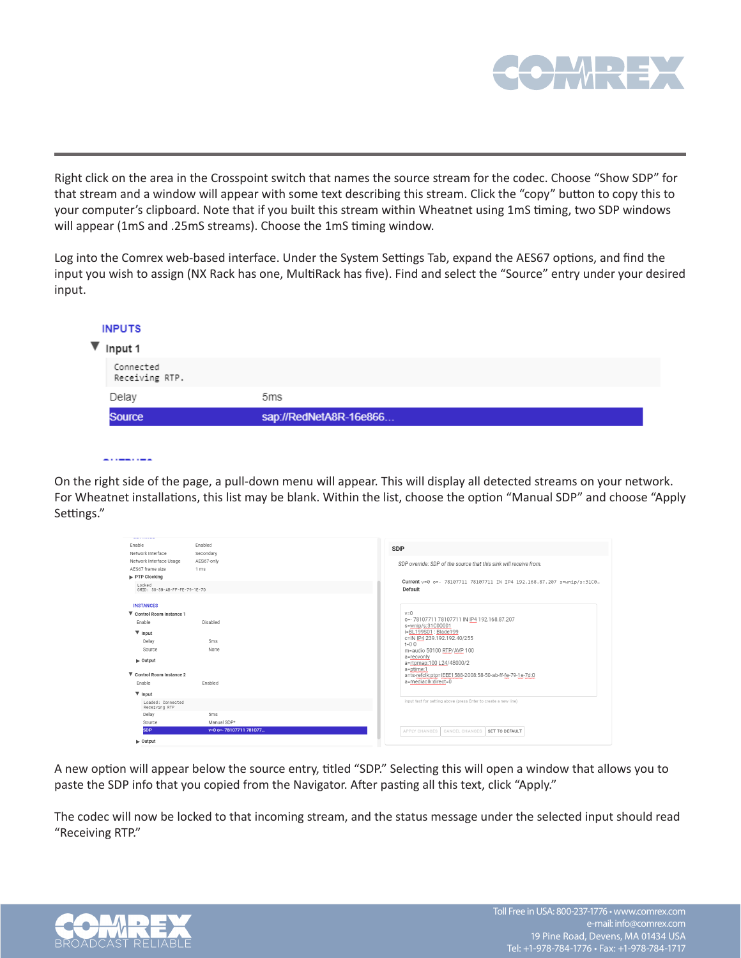

Right click on the area in the Crosspoint switch that names the source stream for the codec. Choose "Show SDP" for that stream and a window will appear with some text describing this stream. Click the "copy" button to copy this to your computer's clipboard. Note that if you built this stream within Wheatnet using 1mS timing, two SDP windows will appear (1mS and .25mS streams). Choose the 1mS timing window.

Log into the Comrex web-based interface. Under the System Settings Tab, expand the AES67 options, and find the input you wish to assign (NX Rack has one, MultiRack has five). Find and select the "Source" entry under your desired input.

|   | <b>INPUTS</b>               |                        |  |
|---|-----------------------------|------------------------|--|
| ▼ | Input 1                     |                        |  |
|   | Connected<br>Receiving RTP. |                        |  |
|   | Delay                       | 5 <sub>ms</sub>        |  |
|   | <b>Source</b>               | sap://RedNetA8R-16e866 |  |

<u>. . . . . . . . . .</u>

On the right side of the page, a pull-down menu will appear. This will display all detected streams on your network. For Wheatnet installations, this list may be blank. Within the list, choose the option "Manual SDP" and choose "Apply Settings."

| www.communic                                |                        |                                                                                  |
|---------------------------------------------|------------------------|----------------------------------------------------------------------------------|
| Enable<br>Network Interface                 | Enabled<br>Secondary   | <b>SDP</b>                                                                       |
| Network Interface Usage<br>AES67 frame size | AES67-only<br>1 ms     | SDP override: SDP of the source that this sink will receive from.                |
| PTP Clocking                                |                        |                                                                                  |
| Locked<br>GMID: 58-50-AB-FF-FE-79-1E-7D     |                        | Current v=0 o=- 78107711 78107711 IN IP4 192.168.87.207 s=wnip/s:31C0<br>Default |
| <b>INSTANCES</b>                            |                        |                                                                                  |
| ▼ Control Room Instance 1                   |                        | $v = 0$                                                                          |
| Enable                                      | Disabled               | o=- 78107711 78107711 IN IP4 192.168.87.207<br>s=wnip/s:31C00001                 |
| $\Psi$ Input                                |                        | i=BL199S01: Blade199                                                             |
| Delay                                       | 5 <sub>ms</sub>        | c=IN IP4 239.192.192.40/255<br>$t = 0.0$                                         |
| Source                                      | None                   | m=audio 50100 RTP/AVP 100                                                        |
| $\blacktriangleright$ Output                |                        | a=recvonly<br>a=rtpmap:100 L24/48000/2<br>a=ptime:1                              |
| ▼ Control Room Instance 2                   |                        | a=ts-refclk:ptp=IEEE1588-2008:58-50-ab-ff-fe-79-1e-7d:0                          |
| Enable                                      | Enabled                | a=mediaclk:direct=0                                                              |
| $\Psi$ Input                                |                        |                                                                                  |
| Loaded: Connected<br>Receiving RTP          |                        | input text for setting above (press Enter to create a new line)                  |
| Delay                                       | 5 <sub>ms</sub>        |                                                                                  |
| Source                                      | Manual SDP*            |                                                                                  |
| <b>SDP</b>                                  | v=0 o= 78107711 781077 | APPLY CHANGES<br>CANCEL CHANGES<br>SET TO DEFAULT                                |
| $\blacktriangleright$ Output                |                        |                                                                                  |

A new option will appear below the source entry, titled "SDP." Selecting this will open a window that allows you to paste the SDP info that you copied from the Navigator. After pasting all this text, click "Apply."

The codec will now be locked to that incoming stream, and the status message under the selected input should read "Receiving RTP."